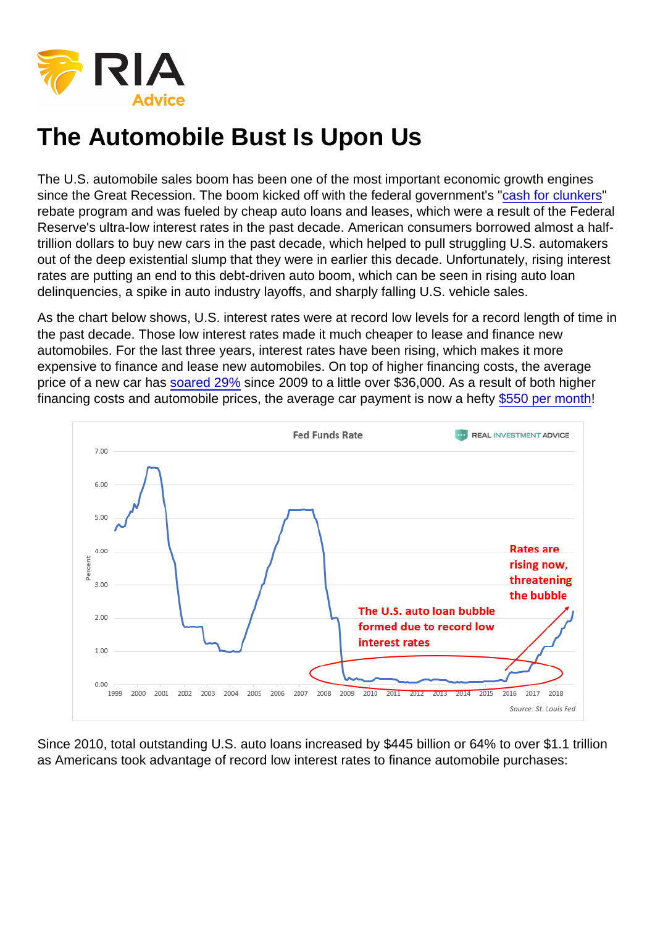## The Automobile Bust Is Upon Us

The U.S. automobile sales boom has been one of the most important economic growth engines since the Great Recession. The boom kicked off with the federal government's "[cash for clunkers](https://en.wikipedia.org/wiki/Car_Allowance_Rebate_System)" rebate program and was fueled by cheap auto loans and leases, which were a result of the Federal Reserve's ultra-low interest rates in the past decade. American consumers borrowed almost a halftrillion dollars to buy new cars in the past decade, which helped to pull struggling U.S. automakers out of the deep existential slump that they were in earlier this decade. Unfortunately, rising interest rates are putting an end to this debt-driven auto boom, which can be seen in rising auto loan delinquencies, a spike in auto industry layoffs, and sharply falling U.S. vehicle sales.

As the chart below shows, U.S. interest rates were at record low levels for a record length of time in the past decade. Those low interest rates made it much cheaper to lease and finance new automobiles. For the last three years, interest rates have been rising, which makes it more expensive to finance and lease new automobiles. On top of higher financing costs, the average price of a new car has [soared 29%](https://www.roadandtrack.com/car-culture/buying-maintenance/a27016809/new-car-msrp-increase-2019/) since 2009 to a little over \$36,000. As a result of both higher financing costs and automobile prices, the average car payment is now a hefty [\\$550 per month!](https://www.usatoday.com/story/money/cars/2019/03/01/care-payments/3001818002/)

Since 2010, total outstanding U.S. auto loans increased by \$445 billion or 64% to over \$1.1 trillion as Americans took advantage of record low interest rates to finance automobile purchases: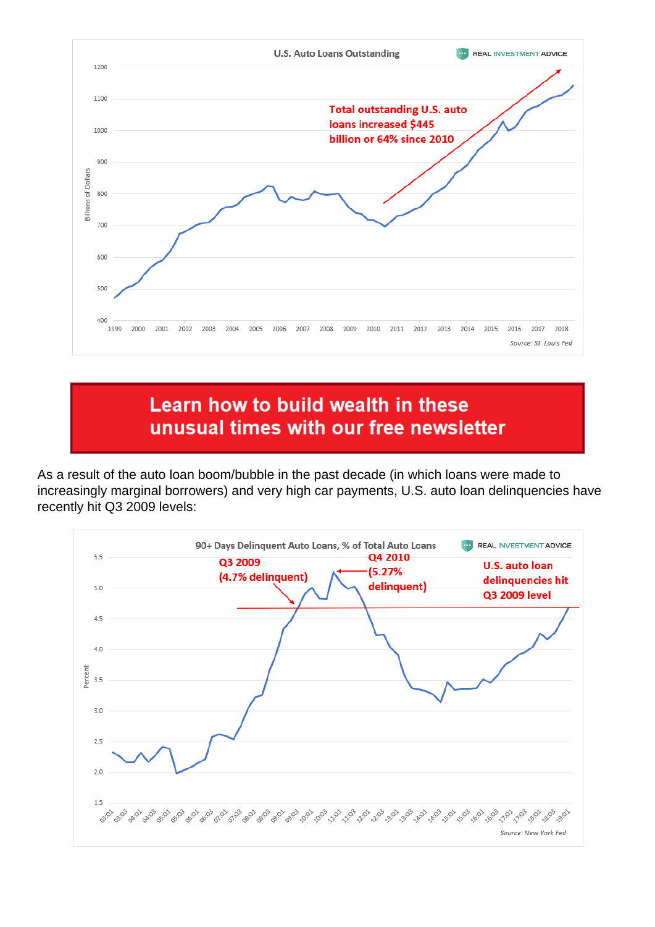

## Learn how to build wealth in these unusual times with our free newsletter

As a result of the auto loan boom/bubble in the past decade (in which loans were made to increasingly marginal borrowers) and very high car payments, U.S. auto loan delinquencies have recently hit Q3 2009 levels:

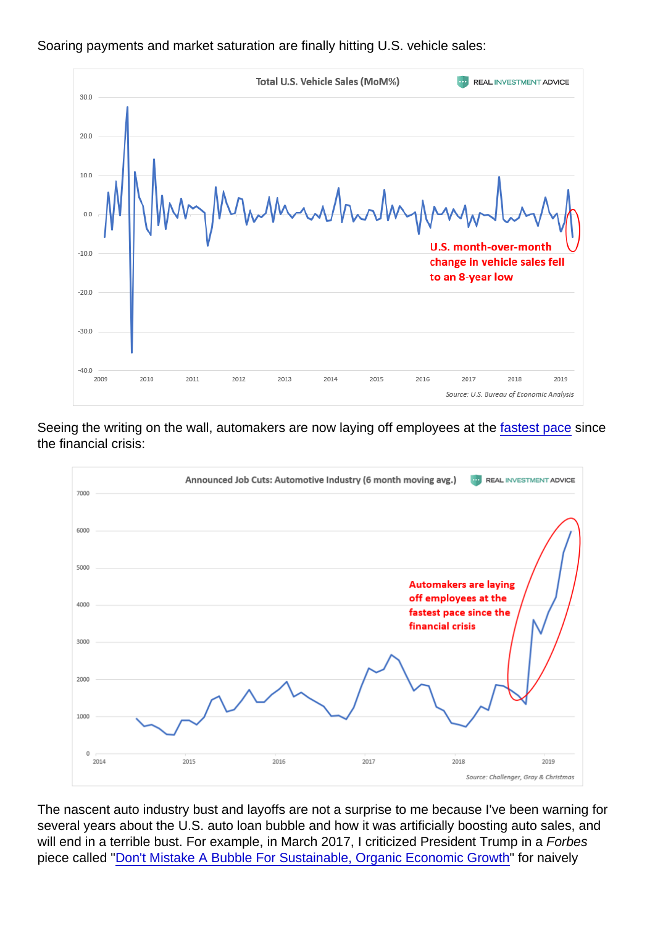Soaring payments and market saturation are finally hitting U.S. vehicle sales:

Seeing the writing on the wall, automakers are now laying off employees at the [fastest pace](https://www.marketwatch.com/story/auto-industry-cutting-jobs-at-the-fastest-pace-since-the-financial-crisis-2019-05-21) since the financial crisis:

The nascent auto industry bust and layoffs are not a surprise to me because I've been warning for several years about the U.S. auto loan bubble and how it was artificially boosting auto sales, and will end in a terrible bust. For example, in March 2017, I criticized President Trump in a Forbes piece called "[Don't Mistake A Bubble For Sustainable, Organic Economic Growth](https://www.forbes.com/sites/jessecolombo/2017/03/30/dont-mistake-a-bubble-for-sustainable-organic-economic-growth/)" for naively